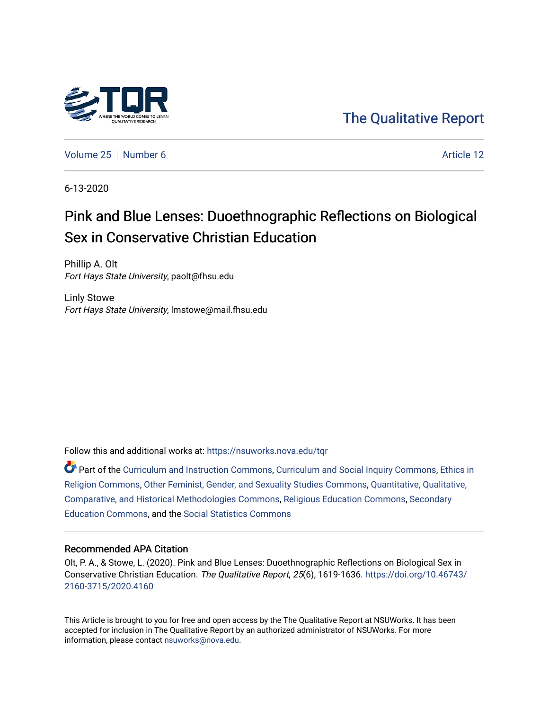

# [The Qualitative Report](https://nsuworks.nova.edu/tqr)

[Volume 25](https://nsuworks.nova.edu/tqr/vol25) [Number 6](https://nsuworks.nova.edu/tqr/vol25/iss6) Article 12

6-13-2020

# Pink and Blue Lenses: Duoethnographic Reflections on Biological Sex in Conservative Christian Education

Phillip A. Olt Fort Hays State University, paolt@fhsu.edu

Linly Stowe Fort Hays State University, lmstowe@mail.fhsu.edu

Follow this and additional works at: [https://nsuworks.nova.edu/tqr](https://nsuworks.nova.edu/tqr?utm_source=nsuworks.nova.edu%2Ftqr%2Fvol25%2Fiss6%2F12&utm_medium=PDF&utm_campaign=PDFCoverPages) 

Part of the [Curriculum and Instruction Commons,](http://network.bepress.com/hgg/discipline/786?utm_source=nsuworks.nova.edu%2Ftqr%2Fvol25%2Fiss6%2F12&utm_medium=PDF&utm_campaign=PDFCoverPages) [Curriculum and Social Inquiry Commons,](http://network.bepress.com/hgg/discipline/1038?utm_source=nsuworks.nova.edu%2Ftqr%2Fvol25%2Fiss6%2F12&utm_medium=PDF&utm_campaign=PDFCoverPages) [Ethics in](http://network.bepress.com/hgg/discipline/541?utm_source=nsuworks.nova.edu%2Ftqr%2Fvol25%2Fiss6%2F12&utm_medium=PDF&utm_campaign=PDFCoverPages)  [Religion Commons](http://network.bepress.com/hgg/discipline/541?utm_source=nsuworks.nova.edu%2Ftqr%2Fvol25%2Fiss6%2F12&utm_medium=PDF&utm_campaign=PDFCoverPages), [Other Feminist, Gender, and Sexuality Studies Commons](http://network.bepress.com/hgg/discipline/562?utm_source=nsuworks.nova.edu%2Ftqr%2Fvol25%2Fiss6%2F12&utm_medium=PDF&utm_campaign=PDFCoverPages), [Quantitative, Qualitative,](http://network.bepress.com/hgg/discipline/423?utm_source=nsuworks.nova.edu%2Ftqr%2Fvol25%2Fiss6%2F12&utm_medium=PDF&utm_campaign=PDFCoverPages)  [Comparative, and Historical Methodologies Commons,](http://network.bepress.com/hgg/discipline/423?utm_source=nsuworks.nova.edu%2Ftqr%2Fvol25%2Fiss6%2F12&utm_medium=PDF&utm_campaign=PDFCoverPages) [Religious Education Commons,](http://network.bepress.com/hgg/discipline/1414?utm_source=nsuworks.nova.edu%2Ftqr%2Fvol25%2Fiss6%2F12&utm_medium=PDF&utm_campaign=PDFCoverPages) [Secondary](http://network.bepress.com/hgg/discipline/1382?utm_source=nsuworks.nova.edu%2Ftqr%2Fvol25%2Fiss6%2F12&utm_medium=PDF&utm_campaign=PDFCoverPages)  [Education Commons,](http://network.bepress.com/hgg/discipline/1382?utm_source=nsuworks.nova.edu%2Ftqr%2Fvol25%2Fiss6%2F12&utm_medium=PDF&utm_campaign=PDFCoverPages) and the [Social Statistics Commons](http://network.bepress.com/hgg/discipline/1275?utm_source=nsuworks.nova.edu%2Ftqr%2Fvol25%2Fiss6%2F12&utm_medium=PDF&utm_campaign=PDFCoverPages) 

# Recommended APA Citation

Olt, P. A., & Stowe, L. (2020). Pink and Blue Lenses: Duoethnographic Reflections on Biological Sex in Conservative Christian Education. The Qualitative Report, 25(6), 1619-1636. [https://doi.org/10.46743/](https://doi.org/10.46743/2160-3715/2020.4160) [2160-3715/2020.4160](https://doi.org/10.46743/2160-3715/2020.4160)

This Article is brought to you for free and open access by the The Qualitative Report at NSUWorks. It has been accepted for inclusion in The Qualitative Report by an authorized administrator of NSUWorks. For more information, please contact [nsuworks@nova.edu.](mailto:nsuworks@nova.edu)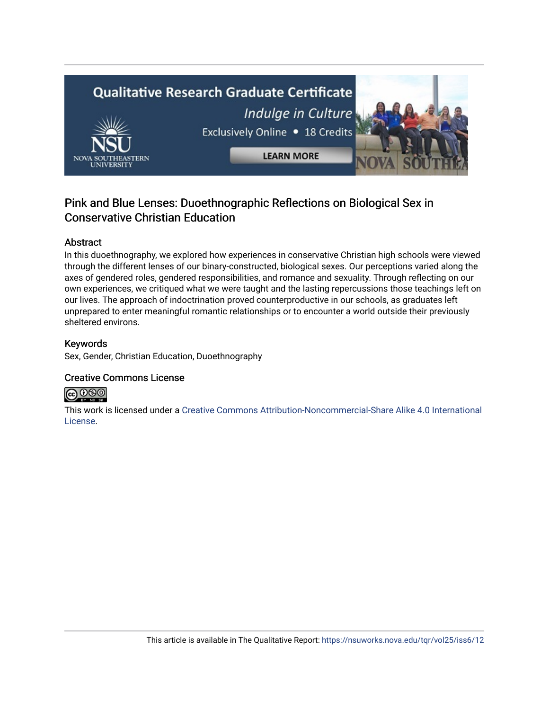

# Pink and Blue Lenses: Duoethnographic Reflections on Biological Sex in Conservative Christian Education

# Abstract

In this duoethnography, we explored how experiences in conservative Christian high schools were viewed through the different lenses of our binary-constructed, biological sexes. Our perceptions varied along the axes of gendered roles, gendered responsibilities, and romance and sexuality. Through reflecting on our own experiences, we critiqued what we were taught and the lasting repercussions those teachings left on our lives. The approach of indoctrination proved counterproductive in our schools, as graduates left unprepared to enter meaningful romantic relationships or to encounter a world outside their previously sheltered environs.

# Keywords

Sex, Gender, Christian Education, Duoethnography

# Creative Commons License



This work is licensed under a [Creative Commons Attribution-Noncommercial-Share Alike 4.0 International](https://creativecommons.org/licenses/by-nc-sa/4.0/)  [License](https://creativecommons.org/licenses/by-nc-sa/4.0/).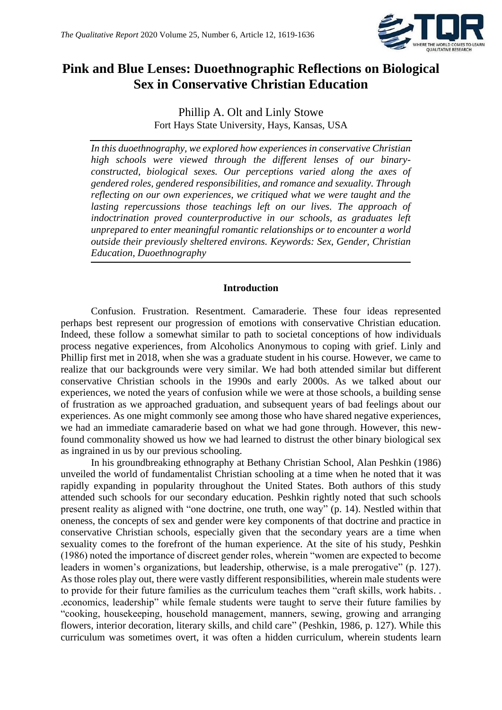

# **Pink and Blue Lenses: Duoethnographic Reflections on Biological Sex in Conservative Christian Education**

Phillip A. Olt and Linly Stowe Fort Hays State University, Hays, Kansas, USA

*In this duoethnography, we explored how experiences in conservative Christian high schools were viewed through the different lenses of our binaryconstructed, biological sexes. Our perceptions varied along the axes of gendered roles, gendered responsibilities, and romance and sexuality. Through reflecting on our own experiences, we critiqued what we were taught and the*  lasting repercussions those teachings left on our lives. The approach of *indoctrination proved counterproductive in our schools, as graduates left unprepared to enter meaningful romantic relationships or to encounter a world outside their previously sheltered environs. Keywords: Sex, Gender, Christian Education, Duoethnography* 

# **Introduction**

Confusion. Frustration. Resentment. Camaraderie. These four ideas represented perhaps best represent our progression of emotions with conservative Christian education. Indeed, these follow a somewhat similar to path to societal conceptions of how individuals process negative experiences, from Alcoholics Anonymous to coping with grief. Linly and Phillip first met in 2018, when she was a graduate student in his course. However, we came to realize that our backgrounds were very similar. We had both attended similar but different conservative Christian schools in the 1990s and early 2000s. As we talked about our experiences, we noted the years of confusion while we were at those schools, a building sense of frustration as we approached graduation, and subsequent years of bad feelings about our experiences. As one might commonly see among those who have shared negative experiences, we had an immediate camaraderie based on what we had gone through. However, this newfound commonality showed us how we had learned to distrust the other binary biological sex as ingrained in us by our previous schooling.

In his groundbreaking ethnography at Bethany Christian School, Alan Peshkin (1986) unveiled the world of fundamentalist Christian schooling at a time when he noted that it was rapidly expanding in popularity throughout the United States. Both authors of this study attended such schools for our secondary education. Peshkin rightly noted that such schools present reality as aligned with "one doctrine, one truth, one way" (p. 14). Nestled within that oneness, the concepts of sex and gender were key components of that doctrine and practice in conservative Christian schools, especially given that the secondary years are a time when sexuality comes to the forefront of the human experience. At the site of his study, Peshkin (1986) noted the importance of discreet gender roles, wherein "women are expected to become leaders in women's organizations, but leadership, otherwise, is a male prerogative" (p. 127). As those roles play out, there were vastly different responsibilities, wherein male students were to provide for their future families as the curriculum teaches them "craft skills, work habits. . .economics, leadership" while female students were taught to serve their future families by "cooking, housekeeping, household management, manners, sewing, growing and arranging flowers, interior decoration, literary skills, and child care" (Peshkin, 1986, p. 127). While this curriculum was sometimes overt, it was often a hidden curriculum, wherein students learn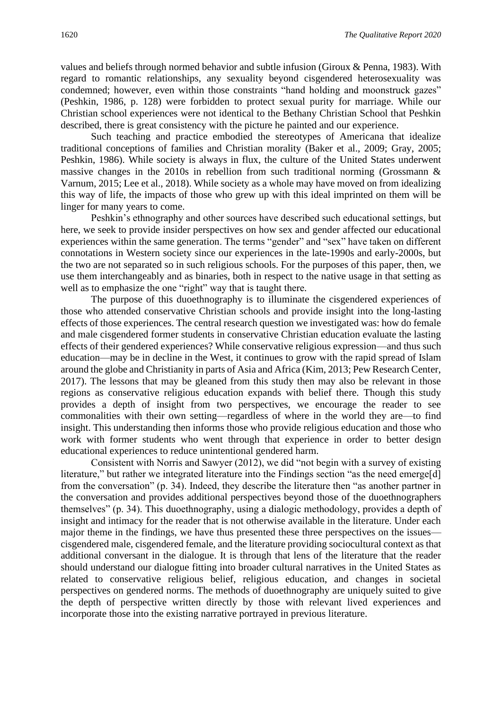values and beliefs through normed behavior and subtle infusion (Giroux & Penna, 1983). With regard to romantic relationships, any sexuality beyond cisgendered heterosexuality was condemned; however, even within those constraints "hand holding and moonstruck gazes" (Peshkin, 1986, p. 128) were forbidden to protect sexual purity for marriage. While our Christian school experiences were not identical to the Bethany Christian School that Peshkin described, there is great consistency with the picture he painted and our experience.

Such teaching and practice embodied the stereotypes of Americana that idealize traditional conceptions of families and Christian morality (Baker et al., 2009; Gray, 2005; Peshkin, 1986). While society is always in flux, the culture of the United States underwent massive changes in the 2010s in rebellion from such traditional norming (Grossmann & Varnum, 2015; Lee et al., 2018). While society as a whole may have moved on from idealizing this way of life, the impacts of those who grew up with this ideal imprinted on them will be linger for many years to come.

Peshkin's ethnography and other sources have described such educational settings, but here, we seek to provide insider perspectives on how sex and gender affected our educational experiences within the same generation. The terms "gender" and "sex" have taken on different connotations in Western society since our experiences in the late-1990s and early-2000s, but the two are not separated so in such religious schools. For the purposes of this paper, then, we use them interchangeably and as binaries, both in respect to the native usage in that setting as well as to emphasize the one "right" way that is taught there.

The purpose of this duoethnography is to illuminate the cisgendered experiences of those who attended conservative Christian schools and provide insight into the long-lasting effects of those experiences. The central research question we investigated was: how do female and male cisgendered former students in conservative Christian education evaluate the lasting effects of their gendered experiences? While conservative religious expression—and thus such education—may be in decline in the West, it continues to grow with the rapid spread of Islam around the globe and Christianity in parts of Asia and Africa (Kim, 2013; Pew Research Center, 2017). The lessons that may be gleaned from this study then may also be relevant in those regions as conservative religious education expands with belief there. Though this study provides a depth of insight from two perspectives, we encourage the reader to see commonalities with their own setting—regardless of where in the world they are—to find insight. This understanding then informs those who provide religious education and those who work with former students who went through that experience in order to better design educational experiences to reduce unintentional gendered harm.

Consistent with Norris and Sawyer (2012), we did "not begin with a survey of existing literature," but rather we integrated literature into the Findings section "as the need emerge[d] from the conversation" (p. 34). Indeed, they describe the literature then "as another partner in the conversation and provides additional perspectives beyond those of the duoethnographers themselves" (p. 34). This duoethnography, using a dialogic methodology, provides a depth of insight and intimacy for the reader that is not otherwise available in the literature. Under each major theme in the findings, we have thus presented these three perspectives on the issues cisgendered male, cisgendered female, and the literature providing sociocultural context as that additional conversant in the dialogue. It is through that lens of the literature that the reader should understand our dialogue fitting into broader cultural narratives in the United States as related to conservative religious belief, religious education, and changes in societal perspectives on gendered norms. The methods of duoethnography are uniquely suited to give the depth of perspective written directly by those with relevant lived experiences and incorporate those into the existing narrative portrayed in previous literature.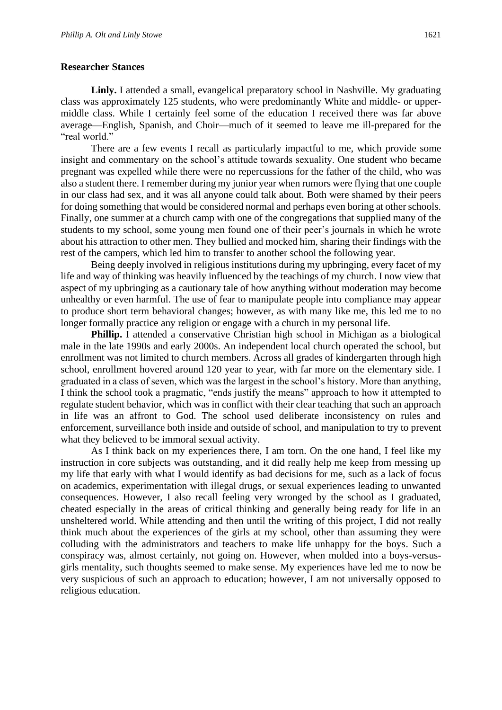# **Researcher Stances**

Linly. I attended a small, evangelical preparatory school in Nashville. My graduating class was approximately 125 students, who were predominantly White and middle- or uppermiddle class. While I certainly feel some of the education I received there was far above average—English, Spanish, and Choir—much of it seemed to leave me ill-prepared for the "real world."

There are a few events I recall as particularly impactful to me, which provide some insight and commentary on the school's attitude towards sexuality. One student who became pregnant was expelled while there were no repercussions for the father of the child, who was also a student there. I remember during my junior year when rumors were flying that one couple in our class had sex, and it was all anyone could talk about. Both were shamed by their peers for doing something that would be considered normal and perhaps even boring at other schools. Finally, one summer at a church camp with one of the congregations that supplied many of the students to my school, some young men found one of their peer's journals in which he wrote about his attraction to other men. They bullied and mocked him, sharing their findings with the rest of the campers, which led him to transfer to another school the following year.

Being deeply involved in religious institutions during my upbringing, every facet of my life and way of thinking was heavily influenced by the teachings of my church. I now view that aspect of my upbringing as a cautionary tale of how anything without moderation may become unhealthy or even harmful. The use of fear to manipulate people into compliance may appear to produce short term behavioral changes; however, as with many like me, this led me to no longer formally practice any religion or engage with a church in my personal life.

**Phillip.** I attended a conservative Christian high school in Michigan as a biological male in the late 1990s and early 2000s. An independent local church operated the school, but enrollment was not limited to church members. Across all grades of kindergarten through high school, enrollment hovered around 120 year to year, with far more on the elementary side. I graduated in a class of seven, which was the largest in the school's history. More than anything, I think the school took a pragmatic, "ends justify the means" approach to how it attempted to regulate student behavior, which was in conflict with their clear teaching that such an approach in life was an affront to God. The school used deliberate inconsistency on rules and enforcement, surveillance both inside and outside of school, and manipulation to try to prevent what they believed to be immoral sexual activity.

As I think back on my experiences there, I am torn. On the one hand, I feel like my instruction in core subjects was outstanding, and it did really help me keep from messing up my life that early with what I would identify as bad decisions for me, such as a lack of focus on academics, experimentation with illegal drugs, or sexual experiences leading to unwanted consequences. However, I also recall feeling very wronged by the school as I graduated, cheated especially in the areas of critical thinking and generally being ready for life in an unsheltered world. While attending and then until the writing of this project, I did not really think much about the experiences of the girls at my school, other than assuming they were colluding with the administrators and teachers to make life unhappy for the boys. Such a conspiracy was, almost certainly, not going on. However, when molded into a boys-versusgirls mentality, such thoughts seemed to make sense. My experiences have led me to now be very suspicious of such an approach to education; however, I am not universally opposed to religious education.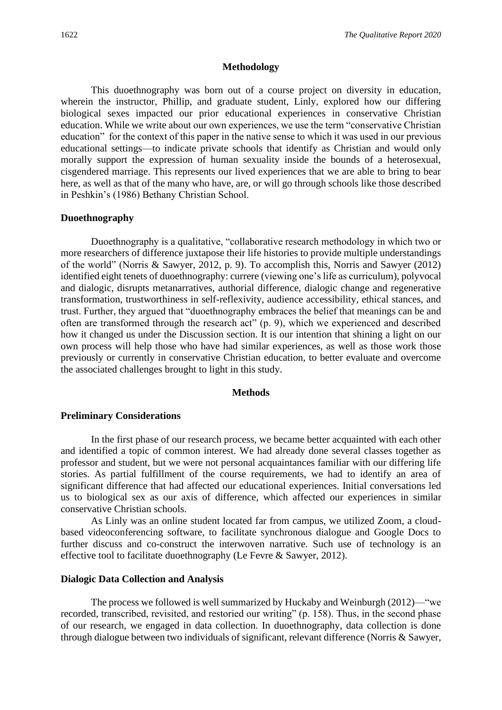#### **Methodology**

This duoethnography was born out of a course project on diversity in education, wherein the instructor, Phillip, and graduate student, Linly, explored how our differing biological sexes impacted our prior educational experiences in conservative Christian education. While we write about our own experiences, we use the term "conservative Christian education" for the context of this paper in the native sense to which it was used in our previous educational settings—to indicate private schools that identify as Christian and would only morally support the expression of human sexuality inside the bounds of a heterosexual, cisgendered marriage. This represents our lived experiences that we are able to bring to bear here, as well as that of the many who have, are, or will go through schools like those described in Peshkin's (1986) Bethany Christian School.

# **Duoethnography**

Duoethnography is a qualitative, "collaborative research methodology in which two or more researchers of difference juxtapose their life histories to provide multiple understandings of the world" (Norris & Sawyer, 2012, p. 9). To accomplish this, Norris and Sawyer (2012) identified eight tenets of duoethnography: currere (viewing one's life as curriculum), polyvocal and dialogic, disrupts metanarratives, authorial difference, dialogic change and regenerative transformation, trustworthiness in self-reflexivity, audience accessibility, ethical stances, and trust. Further, they argued that "duoethnography embraces the belief that meanings can be and often are transformed through the research act" (p. 9), which we experienced and described how it changed us under the Discussion section. It is our intention that shining a light on our own process will help those who have had similar experiences, as well as those work those previously or currently in conservative Christian education, to better evaluate and overcome the associated challenges brought to light in this study.

#### **Methods**

#### **Preliminary Considerations**

In the first phase of our research process, we became better acquainted with each other and identified a topic of common interest. We had already done several classes together as professor and student, but we were not personal acquaintances familiar with our differing life stories. As partial fulfillment of the course requirements, we had to identify an area of significant difference that had affected our educational experiences. Initial conversations led us to biological sex as our axis of difference, which affected our experiences in similar conservative Christian schools.

As Linly was an online student located far from campus, we utilized Zoom, a cloudbased videoconferencing software, to facilitate synchronous dialogue and Google Docs to further discuss and co-construct the interwoven narrative. Such use of technology is an effective tool to facilitate duoethnography (Le Fevre & Sawyer, 2012).

#### **Dialogic Data Collection and Analysis**

The process we followed is well summarized by Huckaby and Weinburgh (2012)—"we recorded, transcribed, revisited, and restoried our writing" (p. 158). Thus, in the second phase of our research, we engaged in data collection. In duoethnography, data collection is done through dialogue between two individuals of significant, relevant difference (Norris & Sawyer,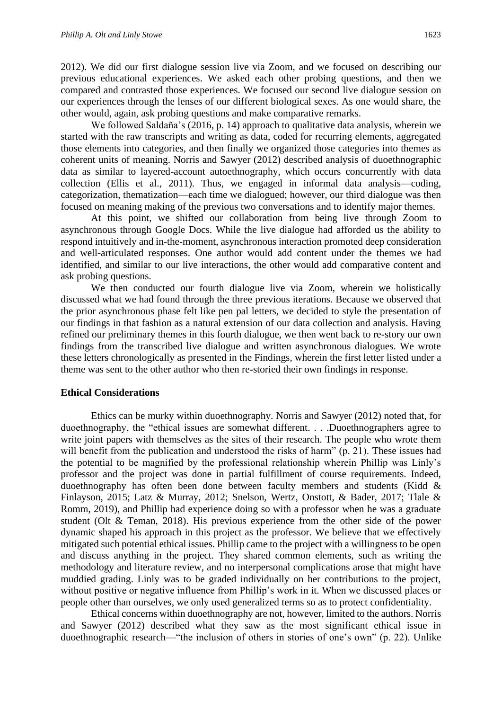2012). We did our first dialogue session live via Zoom, and we focused on describing our previous educational experiences. We asked each other probing questions, and then we compared and contrasted those experiences. We focused our second live dialogue session on our experiences through the lenses of our different biological sexes. As one would share, the other would, again, ask probing questions and make comparative remarks.

We followed Saldaña's (2016, p. 14) approach to qualitative data analysis, wherein we started with the raw transcripts and writing as data, coded for recurring elements, aggregated those elements into categories, and then finally we organized those categories into themes as coherent units of meaning. Norris and Sawyer (2012) described analysis of duoethnographic data as similar to layered-account autoethnography, which occurs concurrently with data collection (Ellis et al., 2011). Thus, we engaged in informal data analysis—coding, categorization, thematization—each time we dialogued; however, our third dialogue was then focused on meaning making of the previous two conversations and to identify major themes.

At this point, we shifted our collaboration from being live through Zoom to asynchronous through Google Docs. While the live dialogue had afforded us the ability to respond intuitively and in-the-moment, asynchronous interaction promoted deep consideration and well-articulated responses. One author would add content under the themes we had identified, and similar to our live interactions, the other would add comparative content and ask probing questions.

We then conducted our fourth dialogue live via Zoom, wherein we holistically discussed what we had found through the three previous iterations. Because we observed that the prior asynchronous phase felt like pen pal letters, we decided to style the presentation of our findings in that fashion as a natural extension of our data collection and analysis. Having refined our preliminary themes in this fourth dialogue, we then went back to re-story our own findings from the transcribed live dialogue and written asynchronous dialogues. We wrote these letters chronologically as presented in the Findings, wherein the first letter listed under a theme was sent to the other author who then re-storied their own findings in response.

#### **Ethical Considerations**

Ethics can be murky within duoethnography. Norris and Sawyer (2012) noted that, for duoethnography, the "ethical issues are somewhat different. . . .Duoethnographers agree to write joint papers with themselves as the sites of their research. The people who wrote them will benefit from the publication and understood the risks of harm" (p. 21). These issues had the potential to be magnified by the professional relationship wherein Phillip was Linly's professor and the project was done in partial fulfillment of course requirements. Indeed, duoethnography has often been done between faculty members and students (Kidd & Finlayson, 2015; Latz & Murray, 2012; Snelson, Wertz, Onstott, & Bader, 2017; Tlale & Romm, 2019), and Phillip had experience doing so with a professor when he was a graduate student (Olt & Teman, 2018). His previous experience from the other side of the power dynamic shaped his approach in this project as the professor. We believe that we effectively mitigated such potential ethical issues. Phillip came to the project with a willingness to be open and discuss anything in the project. They shared common elements, such as writing the methodology and literature review, and no interpersonal complications arose that might have muddied grading. Linly was to be graded individually on her contributions to the project, without positive or negative influence from Phillip's work in it. When we discussed places or people other than ourselves, we only used generalized terms so as to protect confidentiality.

Ethical concerns within duoethnography are not, however, limited to the authors. Norris and Sawyer (2012) described what they saw as the most significant ethical issue in duoethnographic research—"the inclusion of others in stories of one's own" (p. 22). Unlike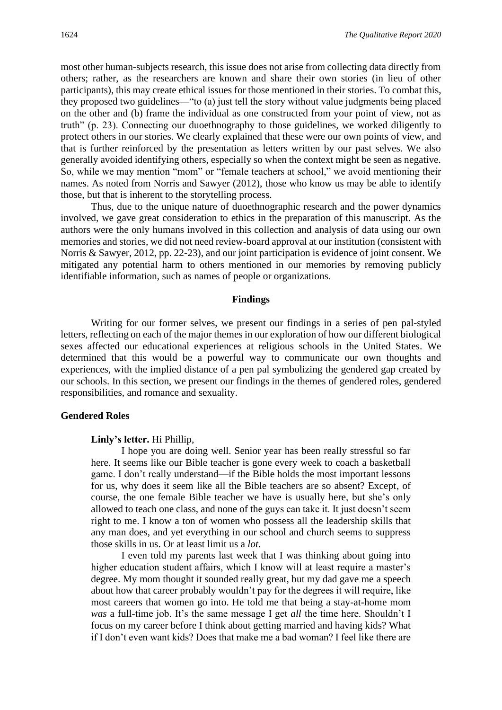most other human-subjects research, this issue does not arise from collecting data directly from others; rather, as the researchers are known and share their own stories (in lieu of other participants), this may create ethical issues for those mentioned in their stories. To combat this, they proposed two guidelines—"to (a) just tell the story without value judgments being placed on the other and (b) frame the individual as one constructed from your point of view, not as truth" (p. 23). Connecting our duoethnography to those guidelines, we worked diligently to protect others in our stories. We clearly explained that these were our own points of view, and that is further reinforced by the presentation as letters written by our past selves. We also generally avoided identifying others, especially so when the context might be seen as negative. So, while we may mention "mom" or "female teachers at school," we avoid mentioning their names. As noted from Norris and Sawyer (2012), those who know us may be able to identify those, but that is inherent to the storytelling process.

Thus, due to the unique nature of duoethnographic research and the power dynamics involved, we gave great consideration to ethics in the preparation of this manuscript. As the authors were the only humans involved in this collection and analysis of data using our own memories and stories, we did not need review-board approval at our institution (consistent with Norris & Sawyer, 2012, pp. 22-23), and our joint participation is evidence of joint consent. We mitigated any potential harm to others mentioned in our memories by removing publicly identifiable information, such as names of people or organizations.

#### **Findings**

Writing for our former selves, we present our findings in a series of pen pal-styled letters, reflecting on each of the major themes in our exploration of how our different biological sexes affected our educational experiences at religious schools in the United States. We determined that this would be a powerful way to communicate our own thoughts and experiences, with the implied distance of a pen pal symbolizing the gendered gap created by our schools. In this section, we present our findings in the themes of gendered roles, gendered responsibilities, and romance and sexuality.

#### **Gendered Roles**

#### **Linly's letter.** Hi Phillip,

I hope you are doing well. Senior year has been really stressful so far here. It seems like our Bible teacher is gone every week to coach a basketball game. I don't really understand—if the Bible holds the most important lessons for us, why does it seem like all the Bible teachers are so absent? Except, of course, the one female Bible teacher we have is usually here, but she's only allowed to teach one class, and none of the guys can take it. It just doesn't seem right to me. I know a ton of women who possess all the leadership skills that any man does, and yet everything in our school and church seems to suppress those skills in us. Or at least limit us a *lot*.

I even told my parents last week that I was thinking about going into higher education student affairs, which I know will at least require a master's degree. My mom thought it sounded really great, but my dad gave me a speech about how that career probably wouldn't pay for the degrees it will require, like most careers that women go into. He told me that being a stay-at-home mom *was* a full-time job. It's the same message I get *all* the time here. Shouldn't I focus on my career before I think about getting married and having kids? What if I don't even want kids? Does that make me a bad woman? I feel like there are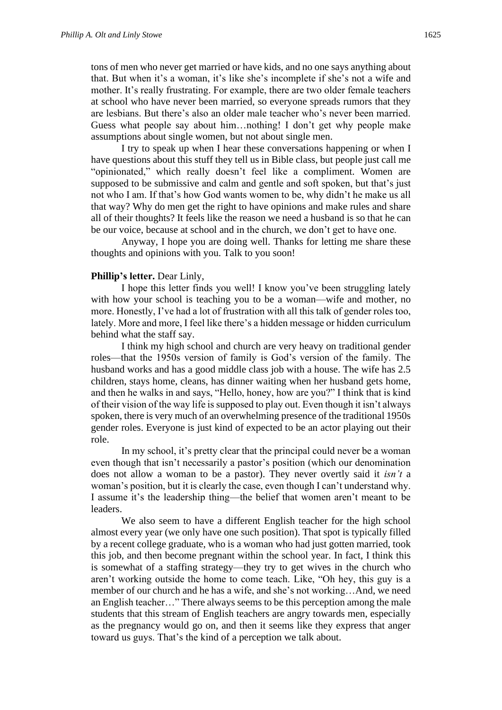tons of men who never get married or have kids, and no one says anything about that. But when it's a woman, it's like she's incomplete if she's not a wife and mother. It's really frustrating. For example, there are two older female teachers at school who have never been married, so everyone spreads rumors that they are lesbians. But there's also an older male teacher who's never been married. Guess what people say about him…nothing! I don't get why people make assumptions about single women, but not about single men.

I try to speak up when I hear these conversations happening or when I have questions about this stuff they tell us in Bible class, but people just call me "opinionated," which really doesn't feel like a compliment. Women are supposed to be submissive and calm and gentle and soft spoken, but that's just not who I am. If that's how God wants women to be, why didn't he make us all that way? Why do men get the right to have opinions and make rules and share all of their thoughts? It feels like the reason we need a husband is so that he can be our voice, because at school and in the church, we don't get to have one.

Anyway, I hope you are doing well. Thanks for letting me share these thoughts and opinions with you. Talk to you soon!

#### **Phillip's letter.** Dear Linly,

I hope this letter finds you well! I know you've been struggling lately with how your school is teaching you to be a woman—wife and mother, no more. Honestly, I've had a lot of frustration with all this talk of gender roles too, lately. More and more, I feel like there's a hidden message or hidden curriculum behind what the staff say.

I think my high school and church are very heavy on traditional gender roles—that the 1950s version of family is God's version of the family. The husband works and has a good middle class job with a house. The wife has 2.5 children, stays home, cleans, has dinner waiting when her husband gets home, and then he walks in and says, "Hello, honey, how are you?" I think that is kind of their vision of the way life is supposed to play out. Even though it isn't always spoken, there is very much of an overwhelming presence of the traditional 1950s gender roles. Everyone is just kind of expected to be an actor playing out their role.

In my school, it's pretty clear that the principal could never be a woman even though that isn't necessarily a pastor's position (which our denomination does not allow a woman to be a pastor). They never overtly said it *isn't* a woman's position, but it is clearly the case, even though I can't understand why. I assume it's the leadership thing—the belief that women aren't meant to be leaders.

We also seem to have a different English teacher for the high school almost every year (we only have one such position). That spot is typically filled by a recent college graduate, who is a woman who had just gotten married, took this job, and then become pregnant within the school year. In fact, I think this is somewhat of a staffing strategy—they try to get wives in the church who aren't working outside the home to come teach. Like, "Oh hey, this guy is a member of our church and he has a wife, and she's not working…And, we need an English teacher…" There always seems to be this perception among the male students that this stream of English teachers are angry towards men, especially as the pregnancy would go on, and then it seems like they express that anger toward us guys. That's the kind of a perception we talk about.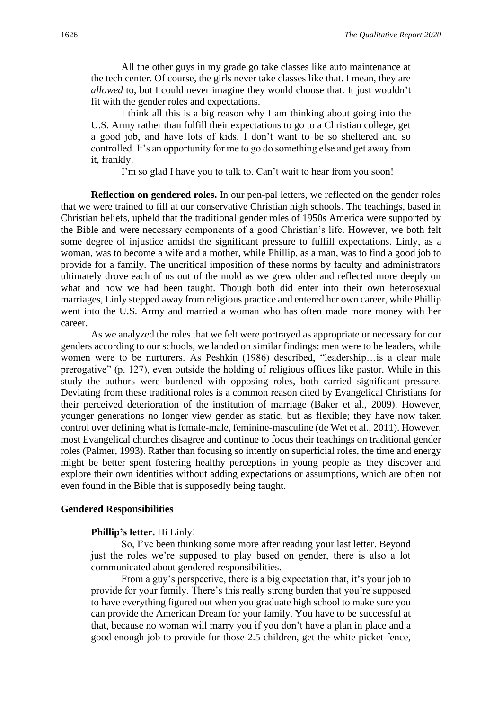All the other guys in my grade go take classes like auto maintenance at the tech center. Of course, the girls never take classes like that. I mean, they are *allowed* to, but I could never imagine they would choose that. It just wouldn't fit with the gender roles and expectations.

I think all this is a big reason why I am thinking about going into the U.S. Army rather than fulfill their expectations to go to a Christian college, get a good job, and have lots of kids. I don't want to be so sheltered and so controlled. It's an opportunity for me to go do something else and get away from it, frankly.

I'm so glad I have you to talk to. Can't wait to hear from you soon!

**Reflection on gendered roles.** In our pen-pal letters, we reflected on the gender roles that we were trained to fill at our conservative Christian high schools. The teachings, based in Christian beliefs, upheld that the traditional gender roles of 1950s America were supported by the Bible and were necessary components of a good Christian's life. However, we both felt some degree of injustice amidst the significant pressure to fulfill expectations. Linly, as a woman, was to become a wife and a mother, while Phillip, as a man, was to find a good job to provide for a family. The uncritical imposition of these norms by faculty and administrators ultimately drove each of us out of the mold as we grew older and reflected more deeply on what and how we had been taught. Though both did enter into their own heterosexual marriages, Linly stepped away from religious practice and entered her own career, while Phillip went into the U.S. Army and married a woman who has often made more money with her career.

As we analyzed the roles that we felt were portrayed as appropriate or necessary for our genders according to our schools, we landed on similar findings: men were to be leaders, while women were to be nurturers. As Peshkin (1986) described, "leadership…is a clear male prerogative" (p. 127), even outside the holding of religious offices like pastor. While in this study the authors were burdened with opposing roles, both carried significant pressure. Deviating from these traditional roles is a common reason cited by Evangelical Christians for their perceived deterioration of the institution of marriage (Baker et al., 2009). However, younger generations no longer view gender as static, but as flexible; they have now taken control over defining what is female-male, feminine-masculine (de Wet et al., 2011). However, most Evangelical churches disagree and continue to focus their teachings on traditional gender roles (Palmer, 1993). Rather than focusing so intently on superficial roles, the time and energy might be better spent fostering healthy perceptions in young people as they discover and explore their own identities without adding expectations or assumptions, which are often not even found in the Bible that is supposedly being taught.

#### **Gendered Responsibilities**

#### **Phillip's letter.** Hi Linly!

So, I've been thinking some more after reading your last letter. Beyond just the roles we're supposed to play based on gender, there is also a lot communicated about gendered responsibilities.

From a guy's perspective, there is a big expectation that, it's your job to provide for your family. There's this really strong burden that you're supposed to have everything figured out when you graduate high school to make sure you can provide the American Dream for your family. You have to be successful at that, because no woman will marry you if you don't have a plan in place and a good enough job to provide for those 2.5 children, get the white picket fence,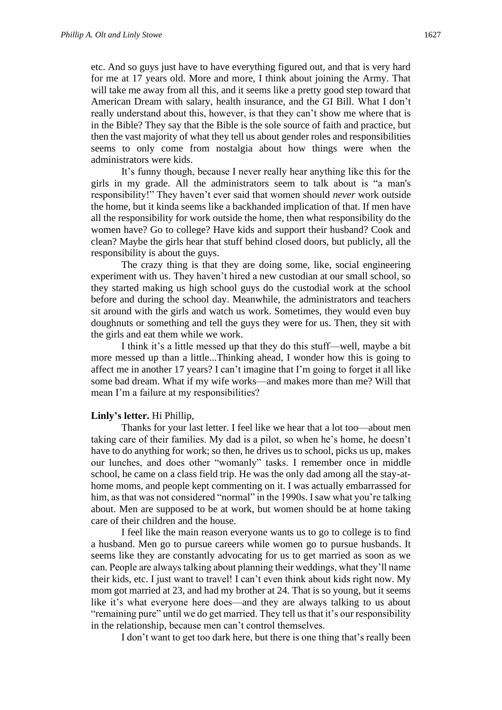etc. And so guys just have to have everything figured out, and that is very hard for me at 17 years old. More and more, I think about joining the Army. That will take me away from all this, and it seems like a pretty good step toward that American Dream with salary, health insurance, and the GI Bill. What I don't really understand about this, however, is that they can't show me where that is in the Bible? They say that the Bible is the sole source of faith and practice, but then the vast majority of what they tell us about gender roles and responsibilities seems to only come from nostalgia about how things were when the administrators were kids.

It's funny though, because I never really hear anything like this for the girls in my grade. All the administrators seem to talk about is "a man's responsibility!" They haven't ever said that women should *never* work outside the home, but it kinda seems like a backhanded implication of that. If men have all the responsibility for work outside the home, then what responsibility do the women have? Go to college? Have kids and support their husband? Cook and clean? Maybe the girls hear that stuff behind closed doors, but publicly, all the responsibility is about the guys.

The crazy thing is that they are doing some, like, social engineering experiment with us. They haven't hired a new custodian at our small school, so they started making us high school guys do the custodial work at the school before and during the school day. Meanwhile, the administrators and teachers sit around with the girls and watch us work. Sometimes, they would even buy doughnuts or something and tell the guys they were for us. Then, they sit with the girls and eat them while we work.

I think it's a little messed up that they do this stuff—well, maybe a bit more messed up than a little...Thinking ahead, I wonder how this is going to affect me in another 17 years? I can't imagine that I'm going to forget it all like some bad dream. What if my wife works—and makes more than me? Will that mean I'm a failure at my responsibilities?

#### **Linly's letter.** Hi Phillip,

Thanks for your last letter. I feel like we hear that a lot too—about men taking care of their families. My dad is a pilot, so when he's home, he doesn't have to do anything for work; so then, he drives us to school, picks us up, makes our lunches, and does other "womanly" tasks. I remember once in middle school, he came on a class field trip. He was the only dad among all the stay-athome moms, and people kept commenting on it. I was actually embarrassed for him, as that was not considered "normal" in the 1990s. I saw what you're talking about. Men are supposed to be at work, but women should be at home taking care of their children and the house.

I feel like the main reason everyone wants us to go to college is to find a husband. Men go to pursue careers while women go to pursue husbands. It seems like they are constantly advocating for us to get married as soon as we can. People are always talking about planning their weddings, what they'll name their kids, etc. I just want to travel! I can't even think about kids right now. My mom got married at 23, and had my brother at 24. That is so young, but it seems like it's what everyone here does—and they are always talking to us about "remaining pure" until we do get married. They tell us that it's our responsibility in the relationship, because men can't control themselves.

I don't want to get too dark here, but there is one thing that's really been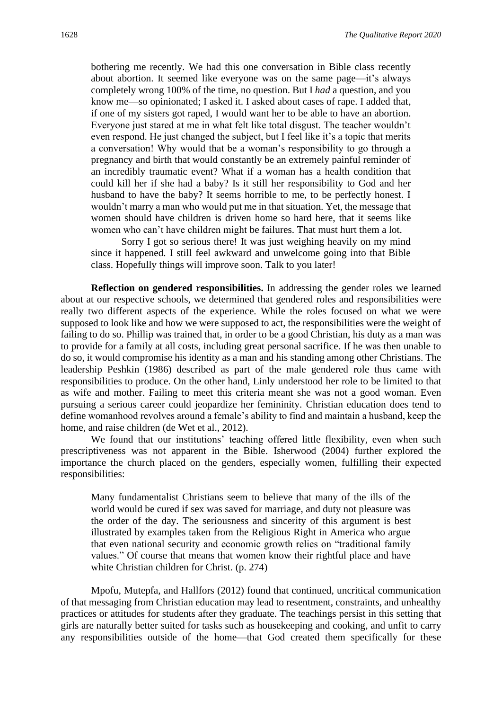bothering me recently. We had this one conversation in Bible class recently about abortion. It seemed like everyone was on the same page—it's always completely wrong 100% of the time, no question. But I *had* a question, and you know me—so opinionated; I asked it. I asked about cases of rape. I added that, if one of my sisters got raped, I would want her to be able to have an abortion. Everyone just stared at me in what felt like total disgust. The teacher wouldn't even respond. He just changed the subject, but I feel like it's a topic that merits a conversation! Why would that be a woman's responsibility to go through a pregnancy and birth that would constantly be an extremely painful reminder of an incredibly traumatic event? What if a woman has a health condition that could kill her if she had a baby? Is it still her responsibility to God and her husband to have the baby? It seems horrible to me, to be perfectly honest. I wouldn't marry a man who would put me in that situation. Yet, the message that women should have children is driven home so hard here, that it seems like women who can't have children might be failures. That must hurt them a lot.

Sorry I got so serious there! It was just weighing heavily on my mind since it happened. I still feel awkward and unwelcome going into that Bible class. Hopefully things will improve soon. Talk to you later!

**Reflection on gendered responsibilities.** In addressing the gender roles we learned about at our respective schools, we determined that gendered roles and responsibilities were really two different aspects of the experience. While the roles focused on what we were supposed to look like and how we were supposed to act, the responsibilities were the weight of failing to do so. Phillip was trained that, in order to be a good Christian, his duty as a man was to provide for a family at all costs, including great personal sacrifice. If he was then unable to do so, it would compromise his identity as a man and his standing among other Christians. The leadership Peshkin (1986) described as part of the male gendered role thus came with responsibilities to produce. On the other hand, Linly understood her role to be limited to that as wife and mother. Failing to meet this criteria meant she was not a good woman. Even pursuing a serious career could jeopardize her femininity. Christian education does tend to define womanhood revolves around a female's ability to find and maintain a husband, keep the home, and raise children (de Wet et al., 2012).

We found that our institutions' teaching offered little flexibility, even when such prescriptiveness was not apparent in the Bible. Isherwood (2004) further explored the importance the church placed on the genders, especially women, fulfilling their expected responsibilities:

Many fundamentalist Christians seem to believe that many of the ills of the world would be cured if sex was saved for marriage, and duty not pleasure was the order of the day. The seriousness and sincerity of this argument is best illustrated by examples taken from the Religious Right in America who argue that even national security and economic growth relies on "traditional family values." Of course that means that women know their rightful place and have white Christian children for Christ. (p. 274)

Mpofu, Mutepfa, and Hallfors (2012) found that continued, uncritical communication of that messaging from Christian education may lead to resentment, constraints, and unhealthy practices or attitudes for students after they graduate. The teachings persist in this setting that girls are naturally better suited for tasks such as housekeeping and cooking, and unfit to carry any responsibilities outside of the home—that God created them specifically for these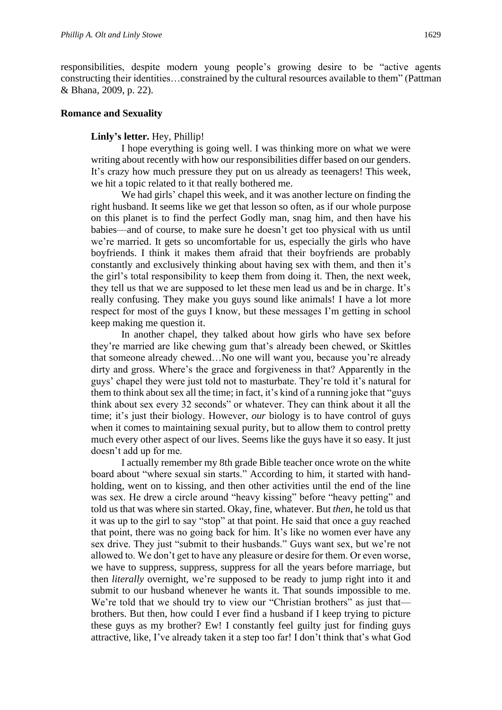responsibilities, despite modern young people's growing desire to be "active agents constructing their identities…constrained by the cultural resources available to them" (Pattman & Bhana, 2009, p. 22).

#### **Romance and Sexuality**

#### **Linly's letter.** Hey, Phillip!

I hope everything is going well. I was thinking more on what we were writing about recently with how our responsibilities differ based on our genders. It's crazy how much pressure they put on us already as teenagers! This week, we hit a topic related to it that really bothered me.

We had girls' chapel this week, and it was another lecture on finding the right husband. It seems like we get that lesson so often, as if our whole purpose on this planet is to find the perfect Godly man, snag him, and then have his babies—and of course, to make sure he doesn't get too physical with us until we're married. It gets so uncomfortable for us, especially the girls who have boyfriends. I think it makes them afraid that their boyfriends are probably constantly and exclusively thinking about having sex with them, and then it's the girl's total responsibility to keep them from doing it. Then, the next week, they tell us that we are supposed to let these men lead us and be in charge. It's really confusing. They make you guys sound like animals! I have a lot more respect for most of the guys I know, but these messages I'm getting in school keep making me question it.

In another chapel, they talked about how girls who have sex before they're married are like chewing gum that's already been chewed, or Skittles that someone already chewed…No one will want you, because you're already dirty and gross. Where's the grace and forgiveness in that? Apparently in the guys' chapel they were just told not to masturbate. They're told it's natural for them to think about sex all the time; in fact, it's kind of a running joke that "guys think about sex every 32 seconds" or whatever. They can think about it all the time; it's just their biology. However, *our* biology is to have control of guys when it comes to maintaining sexual purity, but to allow them to control pretty much every other aspect of our lives. Seems like the guys have it so easy. It just doesn't add up for me.

I actually remember my 8th grade Bible teacher once wrote on the white board about "where sexual sin starts." According to him, it started with handholding, went on to kissing, and then other activities until the end of the line was sex. He drew a circle around "heavy kissing" before "heavy petting" and told us that was where sin started. Okay, fine, whatever. But *then*, he told us that it was up to the girl to say "stop" at that point. He said that once a guy reached that point, there was no going back for him. It's like no women ever have any sex drive. They just "submit to their husbands." Guys want sex, but we're not allowed to. We don't get to have any pleasure or desire for them. Or even worse, we have to suppress, suppress, suppress for all the years before marriage, but then *literally* overnight, we're supposed to be ready to jump right into it and submit to our husband whenever he wants it. That sounds impossible to me. We're told that we should try to view our "Christian brothers" as just that brothers. But then, how could I ever find a husband if I keep trying to picture these guys as my brother? Ew! I constantly feel guilty just for finding guys attractive, like, I've already taken it a step too far! I don't think that's what God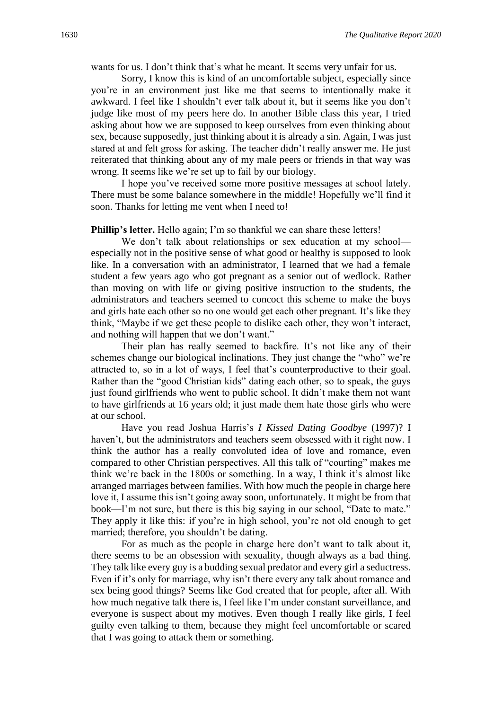wants for us. I don't think that's what he meant. It seems very unfair for us.

Sorry, I know this is kind of an uncomfortable subject, especially since you're in an environment just like me that seems to intentionally make it awkward. I feel like I shouldn't ever talk about it, but it seems like you don't judge like most of my peers here do. In another Bible class this year, I tried asking about how we are supposed to keep ourselves from even thinking about sex, because supposedly, just thinking about it is already a sin. Again, I was just stared at and felt gross for asking. The teacher didn't really answer me. He just reiterated that thinking about any of my male peers or friends in that way was wrong. It seems like we're set up to fail by our biology.

I hope you've received some more positive messages at school lately. There must be some balance somewhere in the middle! Hopefully we'll find it soon. Thanks for letting me vent when I need to!

**Phillip's letter.** Hello again; I'm so thankful we can share these letters!

We don't talk about relationships or sex education at my school especially not in the positive sense of what good or healthy is supposed to look like. In a conversation with an administrator, I learned that we had a female student a few years ago who got pregnant as a senior out of wedlock. Rather than moving on with life or giving positive instruction to the students, the administrators and teachers seemed to concoct this scheme to make the boys and girls hate each other so no one would get each other pregnant. It's like they think, "Maybe if we get these people to dislike each other, they won't interact, and nothing will happen that we don't want."

Their plan has really seemed to backfire. It's not like any of their schemes change our biological inclinations. They just change the "who" we're attracted to, so in a lot of ways, I feel that's counterproductive to their goal. Rather than the "good Christian kids" dating each other, so to speak, the guys just found girlfriends who went to public school. It didn't make them not want to have girlfriends at 16 years old; it just made them hate those girls who were at our school.

Have you read Joshua Harris's *I Kissed Dating Goodbye* (1997)? I haven't, but the administrators and teachers seem obsessed with it right now. I think the author has a really convoluted idea of love and romance, even compared to other Christian perspectives. All this talk of "courting" makes me think we're back in the 1800s or something. In a way, I think it's almost like arranged marriages between families. With how much the people in charge here love it, I assume this isn't going away soon, unfortunately. It might be from that book—I'm not sure, but there is this big saying in our school, "Date to mate." They apply it like this: if you're in high school, you're not old enough to get married; therefore, you shouldn't be dating.

For as much as the people in charge here don't want to talk about it, there seems to be an obsession with sexuality, though always as a bad thing. They talk like every guy is a budding sexual predator and every girl a seductress. Even if it's only for marriage, why isn't there every any talk about romance and sex being good things? Seems like God created that for people, after all. With how much negative talk there is, I feel like I'm under constant surveillance, and everyone is suspect about my motives. Even though I really like girls, I feel guilty even talking to them, because they might feel uncomfortable or scared that I was going to attack them or something.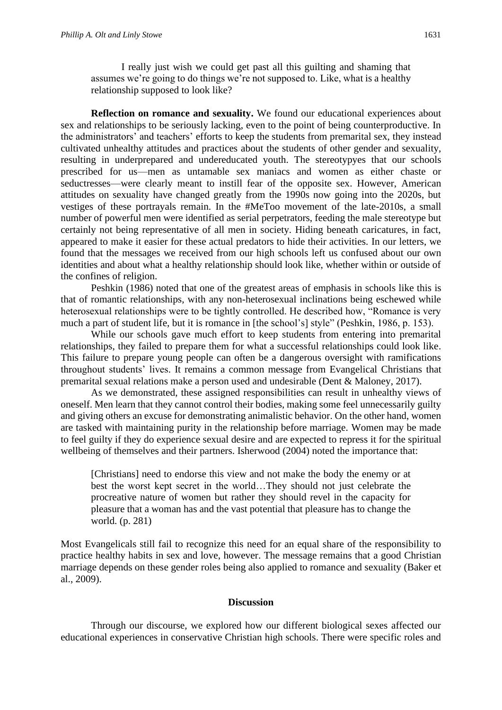I really just wish we could get past all this guilting and shaming that assumes we're going to do things we're not supposed to. Like, what is a healthy relationship supposed to look like?

**Reflection on romance and sexuality.** We found our educational experiences about sex and relationships to be seriously lacking, even to the point of being counterproductive. In the administrators' and teachers' efforts to keep the students from premarital sex, they instead cultivated unhealthy attitudes and practices about the students of other gender and sexuality, resulting in underprepared and undereducated youth. The stereotypyes that our schools prescribed for us—men as untamable sex maniacs and women as either chaste or seductresses—were clearly meant to instill fear of the opposite sex. However, American attitudes on sexuality have changed greatly from the 1990s now going into the 2020s, but vestiges of these portrayals remain. In the #MeToo movement of the late-2010s, a small number of powerful men were identified as serial perpetrators, feeding the male stereotype but certainly not being representative of all men in society. Hiding beneath caricatures, in fact, appeared to make it easier for these actual predators to hide their activities. In our letters, we found that the messages we received from our high schools left us confused about our own identities and about what a healthy relationship should look like, whether within or outside of the confines of religion.

Peshkin (1986) noted that one of the greatest areas of emphasis in schools like this is that of romantic relationships, with any non-heterosexual inclinations being eschewed while heterosexual relationships were to be tightly controlled. He described how, "Romance is very much a part of student life, but it is romance in [the school's] style" (Peshkin, 1986, p. 153).

While our schools gave much effort to keep students from entering into premarital relationships, they failed to prepare them for what a successful relationships could look like. This failure to prepare young people can often be a dangerous oversight with ramifications throughout students' lives. It remains a common message from Evangelical Christians that premarital sexual relations make a person used and undesirable (Dent & Maloney, 2017).

As we demonstrated, these assigned responsibilities can result in unhealthy views of oneself. Men learn that they cannot control their bodies, making some feel unnecessarily guilty and giving others an excuse for demonstrating animalistic behavior. On the other hand, women are tasked with maintaining purity in the relationship before marriage. Women may be made to feel guilty if they do experience sexual desire and are expected to repress it for the spiritual wellbeing of themselves and their partners. Isherwood (2004) noted the importance that:

[Christians] need to endorse this view and not make the body the enemy or at best the worst kept secret in the world…They should not just celebrate the procreative nature of women but rather they should revel in the capacity for pleasure that a woman has and the vast potential that pleasure has to change the world. (p. 281)

Most Evangelicals still fail to recognize this need for an equal share of the responsibility to practice healthy habits in sex and love, however. The message remains that a good Christian marriage depends on these gender roles being also applied to romance and sexuality (Baker et al., 2009).

#### **Discussion**

Through our discourse, we explored how our different biological sexes affected our educational experiences in conservative Christian high schools. There were specific roles and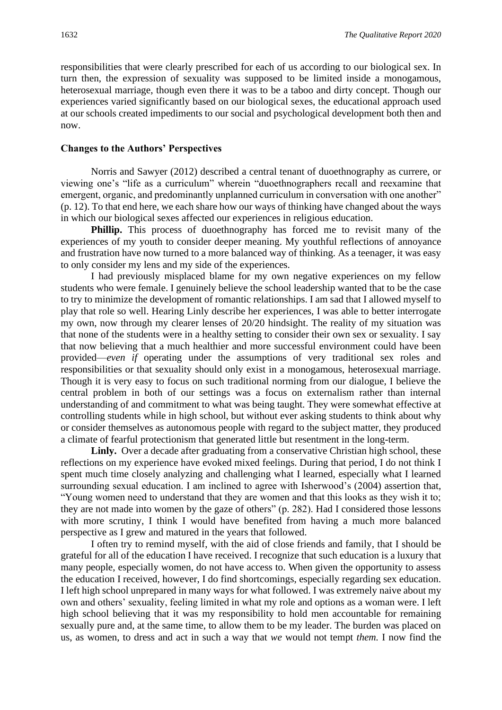responsibilities that were clearly prescribed for each of us according to our biological sex. In turn then, the expression of sexuality was supposed to be limited inside a monogamous, heterosexual marriage, though even there it was to be a taboo and dirty concept. Though our experiences varied significantly based on our biological sexes, the educational approach used at our schools created impediments to our social and psychological development both then and now.

#### **Changes to the Authors' Perspectives**

 Norris and Sawyer (2012) described a central tenant of duoethnography as currere, or viewing one's "life as a curriculum" wherein "duoethnographers recall and reexamine that emergent, organic, and predominantly unplanned curriculum in conversation with one another" (p. 12). To that end here, we each share how our ways of thinking have changed about the ways in which our biological sexes affected our experiences in religious education.

**Phillip.** This process of duoethnography has forced me to revisit many of the experiences of my youth to consider deeper meaning. My youthful reflections of annoyance and frustration have now turned to a more balanced way of thinking. As a teenager, it was easy to only consider my lens and my side of the experiences.

I had previously misplaced blame for my own negative experiences on my fellow students who were female. I genuinely believe the school leadership wanted that to be the case to try to minimize the development of romantic relationships. I am sad that I allowed myself to play that role so well. Hearing Linly describe her experiences, I was able to better interrogate my own, now through my clearer lenses of 20/20 hindsight. The reality of my situation was that none of the students were in a healthy setting to consider their own sex or sexuality. I say that now believing that a much healthier and more successful environment could have been provided—*even if* operating under the assumptions of very traditional sex roles and responsibilities or that sexuality should only exist in a monogamous, heterosexual marriage. Though it is very easy to focus on such traditional norming from our dialogue, I believe the central problem in both of our settings was a focus on externalism rather than internal understanding of and commitment to what was being taught. They were somewhat effective at controlling students while in high school, but without ever asking students to think about why or consider themselves as autonomous people with regard to the subject matter, they produced a climate of fearful protectionism that generated little but resentment in the long-term.

Linly. Over a decade after graduating from a conservative Christian high school, these reflections on my experience have evoked mixed feelings. During that period, I do not think I spent much time closely analyzing and challenging what I learned, especially what I learned surrounding sexual education. I am inclined to agree with Isherwood's (2004) assertion that, "Young women need to understand that they are women and that this looks as they wish it to; they are not made into women by the gaze of others" (p. 282). Had I considered those lessons with more scrutiny, I think I would have benefited from having a much more balanced perspective as I grew and matured in the years that followed.

I often try to remind myself, with the aid of close friends and family, that I should be grateful for all of the education I have received. I recognize that such education is a luxury that many people, especially women, do not have access to. When given the opportunity to assess the education I received, however, I do find shortcomings, especially regarding sex education. I left high school unprepared in many ways for what followed. I was extremely naive about my own and others' sexuality, feeling limited in what my role and options as a woman were. I left high school believing that it was my responsibility to hold men accountable for remaining sexually pure and, at the same time, to allow them to be my leader. The burden was placed on us, as women, to dress and act in such a way that *we* would not tempt *them.* I now find the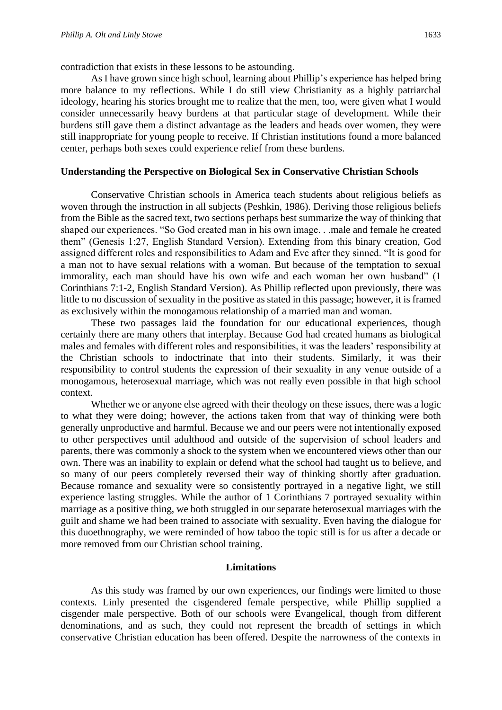contradiction that exists in these lessons to be astounding.

As I have grown since high school, learning about Phillip's experience has helped bring more balance to my reflections. While I do still view Christianity as a highly patriarchal ideology, hearing his stories brought me to realize that the men, too, were given what I would consider unnecessarily heavy burdens at that particular stage of development. While their burdens still gave them a distinct advantage as the leaders and heads over women, they were still inappropriate for young people to receive. If Christian institutions found a more balanced center, perhaps both sexes could experience relief from these burdens.

# **Understanding the Perspective on Biological Sex in Conservative Christian Schools**

Conservative Christian schools in America teach students about religious beliefs as woven through the instruction in all subjects (Peshkin, 1986). Deriving those religious beliefs from the Bible as the sacred text, two sections perhaps best summarize the way of thinking that shaped our experiences. "So God created man in his own image. . .male and female he created them" (Genesis 1:27, English Standard Version). Extending from this binary creation, God assigned different roles and responsibilities to Adam and Eve after they sinned. "It is good for a man not to have sexual relations with a woman. But because of the temptation to sexual immorality, each man should have his own wife and each woman her own husband" (1 Corinthians 7:1-2, English Standard Version). As Phillip reflected upon previously, there was little to no discussion of sexuality in the positive as stated in this passage; however, it is framed as exclusively within the monogamous relationship of a married man and woman.

These two passages laid the foundation for our educational experiences, though certainly there are many others that interplay. Because God had created humans as biological males and females with different roles and responsibilities, it was the leaders' responsibility at the Christian schools to indoctrinate that into their students. Similarly, it was their responsibility to control students the expression of their sexuality in any venue outside of a monogamous, heterosexual marriage, which was not really even possible in that high school context.

Whether we or anyone else agreed with their theology on these issues, there was a logic to what they were doing; however, the actions taken from that way of thinking were both generally unproductive and harmful. Because we and our peers were not intentionally exposed to other perspectives until adulthood and outside of the supervision of school leaders and parents, there was commonly a shock to the system when we encountered views other than our own. There was an inability to explain or defend what the school had taught us to believe, and so many of our peers completely reversed their way of thinking shortly after graduation. Because romance and sexuality were so consistently portrayed in a negative light, we still experience lasting struggles. While the author of 1 Corinthians 7 portrayed sexuality within marriage as a positive thing, we both struggled in our separate heterosexual marriages with the guilt and shame we had been trained to associate with sexuality. Even having the dialogue for this duoethnography, we were reminded of how taboo the topic still is for us after a decade or more removed from our Christian school training.

# **Limitations**

As this study was framed by our own experiences, our findings were limited to those contexts. Linly presented the cisgendered female perspective, while Phillip supplied a cisgender male perspective. Both of our schools were Evangelical, though from different denominations, and as such, they could not represent the breadth of settings in which conservative Christian education has been offered. Despite the narrowness of the contexts in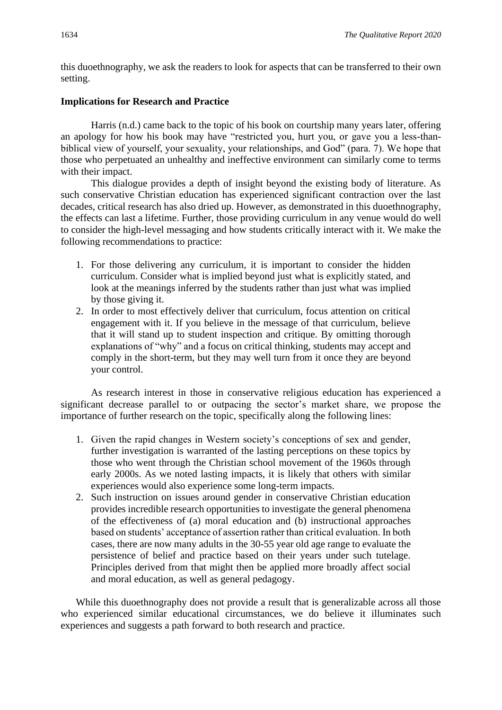this duoethnography, we ask the readers to look for aspects that can be transferred to their own setting.

# **Implications for Research and Practice**

Harris (n.d.) came back to the topic of his book on courtship many years later, offering an apology for how his book may have "restricted you, hurt you, or gave you a less-thanbiblical view of yourself, your sexuality, your relationships, and God" (para. 7). We hope that those who perpetuated an unhealthy and ineffective environment can similarly come to terms with their impact.

This dialogue provides a depth of insight beyond the existing body of literature. As such conservative Christian education has experienced significant contraction over the last decades, critical research has also dried up. However, as demonstrated in this duoethnography, the effects can last a lifetime. Further, those providing curriculum in any venue would do well to consider the high-level messaging and how students critically interact with it. We make the following recommendations to practice:

- 1. For those delivering any curriculum, it is important to consider the hidden curriculum. Consider what is implied beyond just what is explicitly stated, and look at the meanings inferred by the students rather than just what was implied by those giving it.
- 2. In order to most effectively deliver that curriculum, focus attention on critical engagement with it. If you believe in the message of that curriculum, believe that it will stand up to student inspection and critique. By omitting thorough explanations of "why" and a focus on critical thinking, students may accept and comply in the short-term, but they may well turn from it once they are beyond your control.

As research interest in those in conservative religious education has experienced a significant decrease parallel to or outpacing the sector's market share, we propose the importance of further research on the topic, specifically along the following lines:

- 1. Given the rapid changes in Western society's conceptions of sex and gender, further investigation is warranted of the lasting perceptions on these topics by those who went through the Christian school movement of the 1960s through early 2000s. As we noted lasting impacts, it is likely that others with similar experiences would also experience some long-term impacts.
- 2. Such instruction on issues around gender in conservative Christian education provides incredible research opportunities to investigate the general phenomena of the effectiveness of (a) moral education and (b) instructional approaches based on students' acceptance of assertion rather than critical evaluation. In both cases, there are now many adults in the 30-55 year old age range to evaluate the persistence of belief and practice based on their years under such tutelage. Principles derived from that might then be applied more broadly affect social and moral education, as well as general pedagogy.

While this duoethnography does not provide a result that is generalizable across all those who experienced similar educational circumstances, we do believe it illuminates such experiences and suggests a path forward to both research and practice.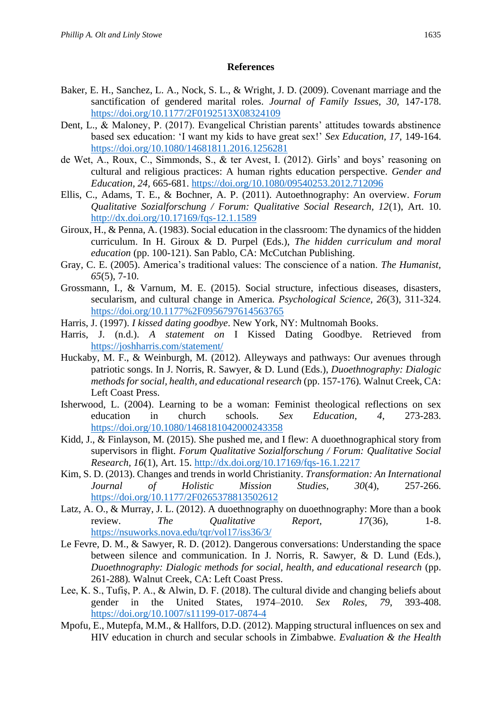# **References**

- Baker, E. H., Sanchez, L. A., Nock, S. L., & Wright, J. D. (2009). Covenant marriage and the sanctification of gendered marital roles. *Journal of Family Issues, 30,* 147-178. <https://doi.org/10.1177/2F0192513X08324109>
- Dent, L., & Maloney, P. (2017). Evangelical Christian parents' attitudes towards abstinence based sex education: 'I want my kids to have great sex!' *Sex Education, 17,* 149-164. <https://doi.org/10.1080/14681811.2016.1256281>
- de Wet, A., Roux, C., Simmonds, S., & ter Avest, I. (2012). Girls' and boys' reasoning on cultural and religious practices: A human rights education perspective. *Gender and Education, 24,* 665-681.<https://doi.org/10.1080/09540253.2012.712096>
- Ellis, C., Adams, T. E., & Bochner, A. P. (2011). Autoethnography: An overview. *Forum Qualitative Sozialforschung / Forum: Qualitative Social Research, 12*(1), Art. 10. <http://dx.doi.org/10.17169/fqs-12.1.1589>
- Giroux, H., & Penna, A. (1983). Social education in the classroom: The dynamics of the hidden curriculum. In H. Giroux & D. Purpel (Eds.), *The hidden curriculum and moral education* (pp. 100-121). San Pablo, CA: McCutchan Publishing.
- Gray, C. E. (2005). America's traditional values: The conscience of a nation. *The Humanist, 65*(5), 7-10.
- Grossmann, I., & Varnum, M. E. (2015). Social structure, infectious diseases, disasters, secularism, and cultural change in America. *Psychological Science, 26*(3), 311-324. <https://doi.org/10.1177%2F0956797614563765>
- Harris, J. (1997). *I kissed dating goodbye*. New York, NY: Multnomah Books.
- Harris, J. (n.d.). *A statement on* I Kissed Dating Goodbye. Retrieved from <https://joshharris.com/statement/>
- Huckaby, M. F., & Weinburgh, M. (2012). Alleyways and pathways: Our avenues through patriotic songs. In J. Norris, R. Sawyer, & D. Lund (Eds.), *Duoethnography: Dialogic methods for social, health, and educational research* (pp. 157-176)*.* Walnut Creek, CA: Left Coast Press.
- Isherwood, L. (2004). Learning to be a woman: Feminist theological reflections on sex education in church schools. *Sex Education, 4*, 273-283. <https://doi.org/10.1080/1468181042000243358>
- Kidd, J., & Finlayson, M. (2015). She pushed me, and I flew: A duoethnographical story from supervisors in flight. *Forum Qualitative Sozialforschung / Forum: Qualitative Social Research, 16*(1), Art. 15.<http://dx.doi.org/10.17169/fqs-16.1.2217>
- Kim, S. D. (2013). Changes and trends in world Christianity. *Transformation: An International Journal of Holistic Mission Studies, 30*(4), 257-266. <https://doi.org/10.1177/2F0265378813502612>
- Latz, A. O., & Murray, J. L. (2012). A duoethnography on duoethnography: More than a book review. *The Qualitative Report, 17*(36), 1-8. <https://nsuworks.nova.edu/tqr/vol17/iss36/3/>
- Le Fevre, D. M., & Sawyer, R. D. (2012). Dangerous conversations: Understanding the space between silence and communication. In J. Norris, R. Sawyer, & D. Lund (Eds.), *Duoethnography: Dialogic methods for social, health, and educational research* (pp. 261-288)*.* Walnut Creek, CA: Left Coast Press.
- Lee, K. S., Tufiş, P. A., & Alwin, D. F. (2018). The cultural divide and changing beliefs about gender in the United States, 1974–2010. *Sex Roles, 79*, 393-408. <https://doi.org/10.1007/s11199-017-0874-4>
- Mpofu, E., Mutepfa, M.M., & Hallfors, D.D. (2012). Mapping structural influences on sex and HIV education in church and secular schools in Zimbabwe. *Evaluation & the Health*